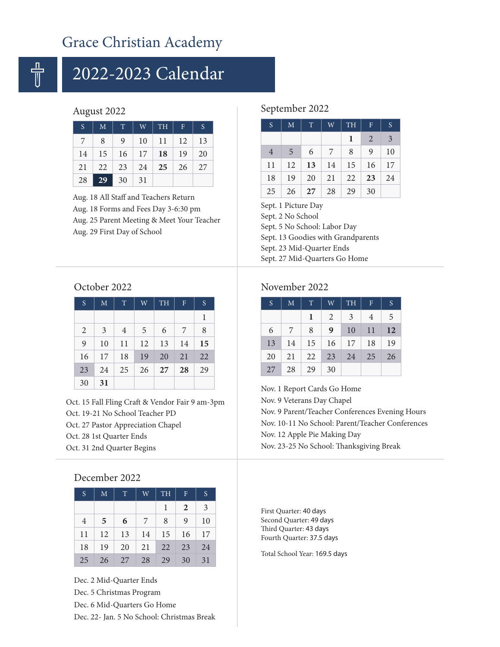## Grace Christian Academy

# 2022-2023 Calendar

### August 2022

| <sub>S</sub> | M  | $\mathbf T$                                                       | W  | <b>TH</b>  | $\mathbf{F}$ | <sub>S</sub> |
|--------------|----|-------------------------------------------------------------------|----|------------|--------------|--------------|
| 7            | 8  | 9                                                                 | 10 | -11        | 12           | -13          |
| 14           | 15 | $16 \mid 17$                                                      |    | $\vert$ 18 | 19           | 20           |
| 21           | 22 | $\begin{array}{ c c c c c } \hline 23 & 24 \\ \hline \end{array}$ |    | 25         | 26           | 27           |
| 28           | 29 | 30                                                                | 31 |            |              |              |

Aug. 18 All Staff and Teachers Return Aug. 18 Forms and Fees Day 3-6:30 pm Aug. 25 Parent Meeting & Meet Your Teacher Aug. 29 First Day of School

### September 2022

| $\overline{S}$ | M               | T  | W               | <b>TH</b> | $\mathbf{F}$ | S              |
|----------------|-----------------|----|-----------------|-----------|--------------|----------------|
|                |                 |    |                 | 1         | 2            | $\overline{3}$ |
| $\overline{4}$ | $5\overline{)}$ | 6  | $7\overline{ }$ | 8         | 9            | 10             |
| 11             | 12              | 13 | 14              | 15        | 16           | 17             |
| 18             | 19              | 20 | 21              | 22        | 23           | 24             |
| 25             | 26              | 27 | 28              | 29        | 30           |                |

Sept. 1 Picture Day Sept. 2 No School Sept. 5 No School: Labor Day Sept. 13 Goodies with Grandparents Sept. 23 Mid-Quarter Ends Sept. 27 Mid-Quarters Go Home

### October 2022

| S              | M  | T              | W  | <b>TH</b> | $\mathbf{F}$ | S  |
|----------------|----|----------------|----|-----------|--------------|----|
|                |    |                |    |           |              | 1  |
| $\overline{2}$ | 3  | $\overline{4}$ | 5  | 6         | 7            | 8  |
| 9              | 10 | 11             | 12 | 13        | 14           | 15 |
| 16             | 17 | 18             | 19 | 20        | 21           | 22 |
| 23             | 24 | 25             | 26 | 27        | 28           | 29 |
| 30             | 31 |                |    |           |              |    |

Oct. 15 Fall Fling Craft & Vendor Fair 9 am-3pm Oct. 19-21 No School Teacher PD Oct. 27 Pastor Appreciation Chapel Oct. 28 1st Quarter Ends Oct. 31 2nd Quarter Begins

### December 2022

| S.             | M              | T  | W  | <b>TH</b> | F  | S  |
|----------------|----------------|----|----|-----------|----|----|
|                |                |    |    | 1         | 2  | 3  |
| $\overline{4}$ | $\overline{5}$ | 6  | -7 | 8         | 9  | 10 |
| 11             | 12             | 13 | 14 | 15        | 16 | 17 |
| 18             | 19             | 20 | 21 | 22        | 23 | 24 |
| 25             | 26             | 27 | 28 | 29        | 30 | 31 |

Dec. 2 Mid-Quarter Ends Dec. 5 Christmas Program Dec. 6 Mid-Quarters Go Home Dec. 22- Jan. 5 No School: Christmas Break

### November 2022

| S  | M  | $\mathbb{T}$ | W  | <b>TH</b> | $\mathbf F$ | S  |
|----|----|--------------|----|-----------|-------------|----|
|    |    | 1            | 2  | 3         | 4           | 5  |
| 6  | 7  | 8            | 9  | 10        | 11          | 12 |
| 13 | 14 | 15           | 16 | 17        | 18          | 19 |
| 20 | 21 | 22           | 23 | 24        | 25          | 26 |
| 27 | 28 | 29           | 30 |           |             |    |

Nov. 1 Report Cards Go Home Nov. 9 Veterans Day Chapel Nov. 9 Parent/Teacher Conferences Evening Hours Nov. 10-11 No School: Parent/Teacher Conferences Nov. 12 Apple Pie Making Day Nov. 23-25 No School: Thanksgiving Break

First Quarter: 40 days Second Quarter: 49 days Third Quarter: 43 days Fourth Quarter: 37.5 days

Total School Year: 169.5 days